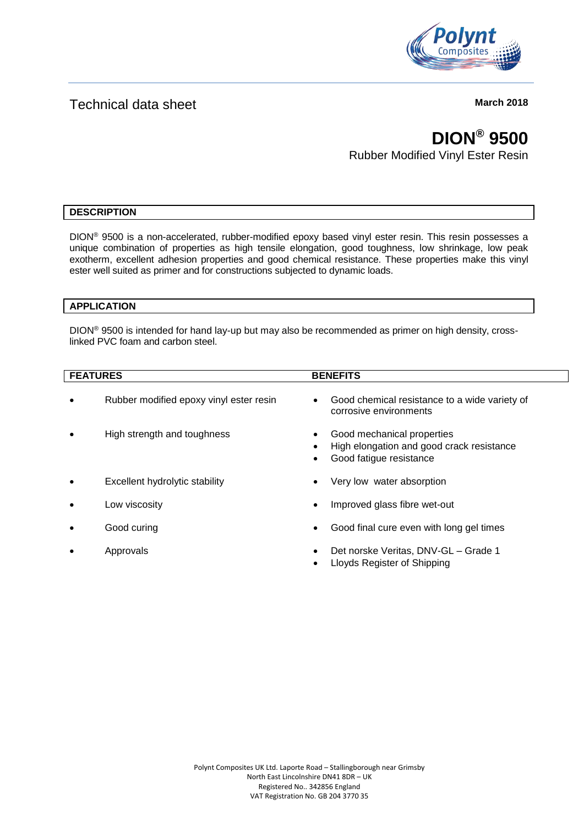

# Technical data sheet **March** 2018

# **DION® 9500**

Rubber Modified Vinyl Ester Resin

# **DESCRIPTION**

DION® 9500 is a non-accelerated, rubber-modified epoxy based vinyl ester resin. This resin possesses a unique combination of properties as high tensile elongation, good toughness, low shrinkage, low peak exotherm, excellent adhesion properties and good chemical resistance. These properties make this vinyl ester well suited as primer and for constructions subjected to dynamic loads.

### **APPLICATION**

DION® 9500 is intended for hand lay-up but may also be recommended as primer on high density, crosslinked PVC foam and carbon steel.

| <b>FEATURES</b> |                                         | <b>BENEFITS</b> |                                                                                                    |  |
|-----------------|-----------------------------------------|-----------------|----------------------------------------------------------------------------------------------------|--|
| $\bullet$       | Rubber modified epoxy vinyl ester resin | $\bullet$       | Good chemical resistance to a wide variety of<br>corrosive environments                            |  |
|                 | High strength and toughness             |                 | Good mechanical properties<br>High elongation and good crack resistance<br>Good fatigue resistance |  |
| $\bullet$       | Excellent hydrolytic stability          |                 | Very low water absorption                                                                          |  |
|                 | Low viscosity                           | $\bullet$       | Improved glass fibre wet-out                                                                       |  |
| ٠               | Good curing                             | $\bullet$       | Good final cure even with long gel times                                                           |  |
|                 | Approvals                               |                 | Det norske Veritas, DNV-GL - Grade 1<br>Lloyds Register of Shipping                                |  |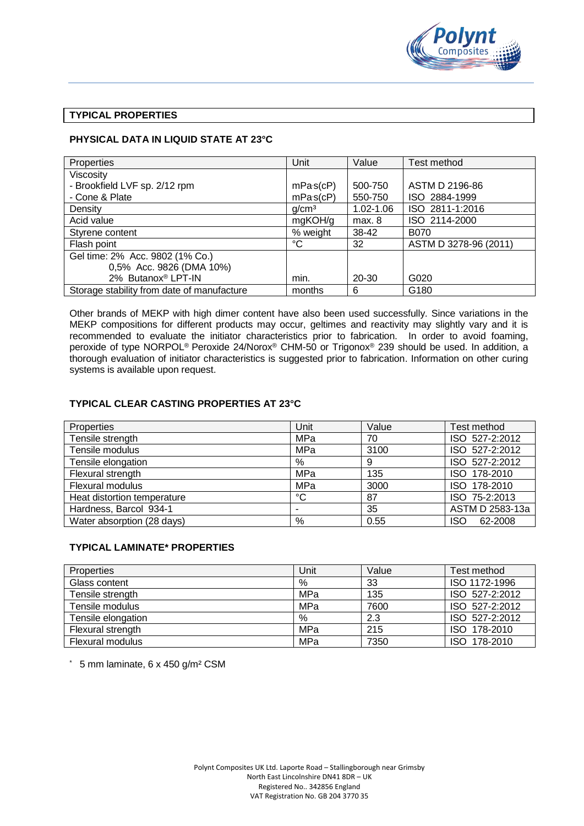

#### **TYPICAL PROPERTIES**

### **PHYSICAL DATA IN LIQUID STATE AT 23°C**

| Properties                                 | Unit              | Value     | Test method           |  |
|--------------------------------------------|-------------------|-----------|-----------------------|--|
| Viscosity                                  |                   |           |                       |  |
| - Brookfield LVF sp. 2/12 rpm              | mPa(s(cP))        | 500-750   | ASTM D 2196-86        |  |
| - Cone & Plate                             | mPa(s(cP))        | 550-750   | ISO 2884-1999         |  |
| Density                                    | q/cm <sup>3</sup> | 1.02-1.06 | ISO 2811-1:2016       |  |
| Acid value                                 | mgKOH/g           | max. 8    | ISO 2114-2000         |  |
| Styrene content                            | % weight          | 38-42     | B070                  |  |
| Flash point                                | °C                | 32        | ASTM D 3278-96 (2011) |  |
| Gel time: 2% Acc. 9802 (1% Co.)            |                   |           |                       |  |
| 0,5% Acc. 9826 (DMA 10%)                   |                   |           |                       |  |
| 2% Butanox® LPT-IN                         | min.              | 20-30     | G020                  |  |
| Storage stability from date of manufacture | months            | 6         | G180                  |  |

Other brands of MEKP with high dimer content have also been used successfully. Since variations in the MEKP compositions for different products may occur, geltimes and reactivity may slightly vary and it is recommended to evaluate the initiator characteristics prior to fabrication. In order to avoid foaming, peroxide of type NORPOL® Peroxide 24/Norox® CHM-50 or Trigonox® 239 should be used. In addition, a thorough evaluation of initiator characteristics is suggested prior to fabrication. Information on other curing systems is available upon request.

## **TYPICAL CLEAR CASTING PROPERTIES AT 23°C**

| Properties                  | Unit            | Value | Test method           |
|-----------------------------|-----------------|-------|-----------------------|
| Tensile strength            | MPa             | 70    | ISO 527-2:2012        |
| Tensile modulus             | MPa             | 3100  | ISO 527-2:2012        |
| Tensile elongation          | %               | 9     | ISO 527-2:2012        |
| Flexural strength           | MPa             | 135   | ISO 178-2010          |
| <b>Flexural modulus</b>     | MPa             | 3000  | ISO 178-2010          |
| Heat distortion temperature | $\rm ^{\circ}C$ | 87    | ISO 75-2:2013         |
| Hardness, Barcol 934-1      | -               | 35    | ASTM D 2583-13a       |
| Water absorption (28 days)  | %               | 0.55  | 62-2008<br><b>ISO</b> |

#### **TYPICAL LAMINATE\* PROPERTIES**

| <b>Properties</b>  | Unit | Value | Test method    |
|--------------------|------|-------|----------------|
| Glass content      | %    | 33    | ISO 1172-1996  |
| Tensile strength   | MPa  | 135   | ISO 527-2:2012 |
| Tensile modulus    | MPa  | 7600  | ISO 527-2:2012 |
| Tensile elongation | %    | 2.3   | ISO 527-2:2012 |
| Flexural strength  | MPa  | 215   | ISO 178-2010   |
| Flexural modulus   | MPa  | 7350  | ISO 178-2010   |

\* 5 mm laminate, 6 x 450 g/m² CSM